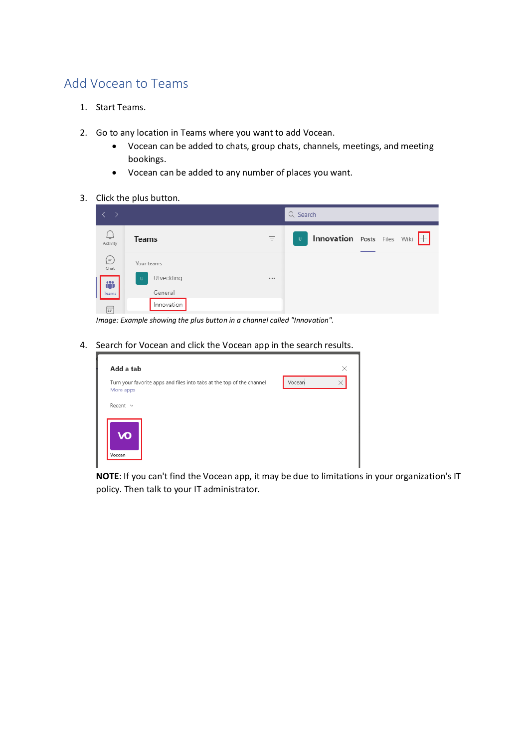## Add Vocean to Teams

- 1. Start Teams.
- 2. Go to any location in Teams where you want to add Vocean.
	- Vocean can be added to chats, group chats, channels, meetings, and meeting bookings.
	- Vocean can be added to any number of places you want.
- 3. Click the plus button.



*Image: Example showing the plus button in a channel called "Innovation".*

4. Search for Vocean and click the Vocean app in the search results.

| Add a tab                                                                          |        | × |
|------------------------------------------------------------------------------------|--------|---|
| Turn your favorite apps and files into tabs at the top of the channel<br>More apps | Vocean |   |
| Recent $\sim$                                                                      |        |   |
| VO<br>Vocean                                                                       |        |   |

**NOTE**: If you can't find the Vocean app, it may be due to limitations in your organization's IT policy. Then talk to your IT administrator.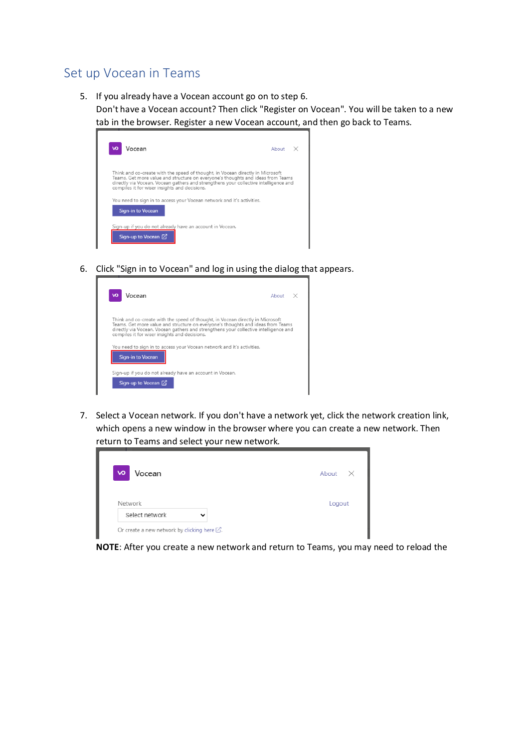## Set up Vocean in Teams

5. If you already have a Vocean account go on to step 6.

Don't have a Vocean account? Then click "Register on Vocean". You will be taken to a new tab in the browser. Register a new Vocean account, and then go back to Teams.

| Vocean<br>vΟ                                                                                                                                                                                                                                                                                               | About $\times$ |  |
|------------------------------------------------------------------------------------------------------------------------------------------------------------------------------------------------------------------------------------------------------------------------------------------------------------|----------------|--|
| Think and co-create with the speed of thought, in Vocean directly in Microsoft<br>Teams. Get more value and structure on everyone's thoughts and ideas from Teams<br>directly via Vocean. Vocean gathers and strengthens your collective intelligence and<br>compiles it for wiser insights and decisions. |                |  |
| You need to sign in to access your Vocean network and it's activities.                                                                                                                                                                                                                                     |                |  |
| Sign-in to Vocean<br>Sign-up if you do not already have an account in Vocean.<br>Sign-up to Vocean [7]                                                                                                                                                                                                     |                |  |

6. Click "Sign in to Vocean" and log in using the dialog that appears.

| Vocean                                                                                                                                                                                                                                                                                                     | About $\times$ |
|------------------------------------------------------------------------------------------------------------------------------------------------------------------------------------------------------------------------------------------------------------------------------------------------------------|----------------|
| Think and co-create with the speed of thought, in Vocean directly in Microsoft<br>Teams. Get more value and structure on everyone's thoughts and ideas from Teams<br>directly via Vocean. Vocean gathers and strengthens your collective intelligence and<br>compiles it for wiser insights and decisions. |                |
|                                                                                                                                                                                                                                                                                                            |                |
| You need to sign in to access your Vocean network and it's activities.<br>Sign-in to Vocean                                                                                                                                                                                                                |                |
| Sign-up if you do not already have an account in Vocean.                                                                                                                                                                                                                                                   |                |

7. Select a Vocean network. If you don't have a network yet, click the network creation link, which opens a new window in the browser where you can create a new network. Then return to Teams and select your new network.

| <b>VO</b><br>Vocean | About  |
|---------------------|--------|
| Network             | Logout |
| Select network      |        |

**NOTE**: After you create a new network and return to Teams, you may need to reload the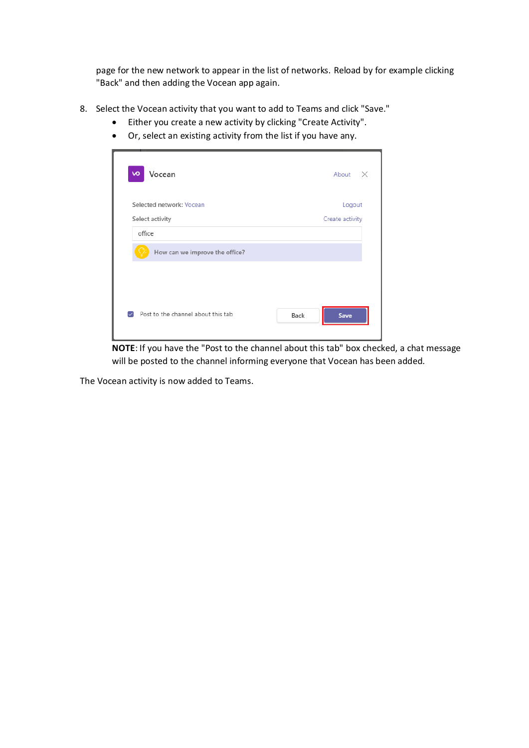page for the new network to appear in the list of networks. Reload by for example clicking "Back" and then adding the Vocean app again.

- 8. Select the Vocean activity that you want to add to Teams and click "Save."
	- Either you create a new activity by clicking "Create Activity".
	- Or, select an existing activity from the list if you have any.

| Vocean<br><b>vo</b>                | About<br>$\times$ |
|------------------------------------|-------------------|
| Selected network: Vocean           | Logout            |
| Select activity                    | Create activity   |
| office                             |                   |
| How can we improve the office?     |                   |
|                                    |                   |
| Post to the channel about this tab | Back<br>Save      |

**NOTE**: If you have the "Post to the channel about this tab" box checked, a chat message will be posted to the channel informing everyone that Vocean has been added.

The Vocean activity is now added to Teams.